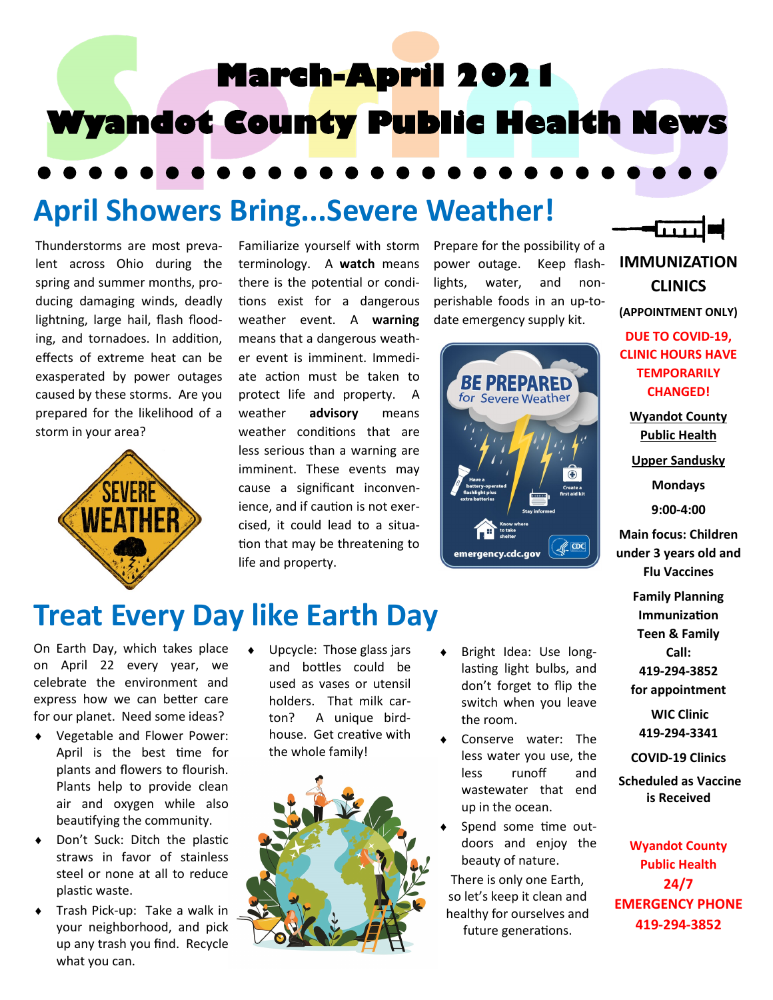

## **April Showers Bring...Severe Weather!**

Thunderstorms are most prevalent across Ohio during the spring and summer months, producing damaging winds, deadly lightning, large hail, flash flooding, and tornadoes. In addition, effects of extreme heat can be exasperated by power outages caused by these storms. Are you prepared for the likelihood of a storm in your area?



Familiarize yourself with storm terminology. A **watch** means there is the potential or conditions exist for a dangerous weather event. A **warning** means that a dangerous weather event is imminent. Immediate action must be taken to protect life and property. A weather **advisory** means weather conditions that are less serious than a warning are imminent. These events may cause a significant inconvenience, and if caution is not exercised, it could lead to a situation that may be threatening to life and property.

Prepare for the possibility of a power outage. Keep flashlights, water, and nonperishable foods in an up-todate emergency supply kit.



**IMMUNIZATION CLINICS**

**(APPOINTMENT ONLY)**

**DUE TO COVID-19, CLINIC HOURS HAVE TEMPORARILY CHANGED!**

**Wyandot County Public Health** 

**Upper Sandusky**

**Mondays 9:00-4:00**

**Main focus: Children under 3 years old and Flu Vaccines**

> **Family Planning Immunization Teen & Family Call: 419-294-3852 for appointment**

**WIC Clinic 419-294-3341**

**COVID-19 Clinics**

**Scheduled as Vaccine is Received**

**Wyandot County Public Health 24/7 EMERGENCY PHONE 419-294-3852**

## **Treat Every Day like Earth Day**

On Earth Day, which takes place on April 22 every year, we celebrate the environment and express how we can better care for our planet. Need some ideas?

- Vegetable and Flower Power: April is the best time for plants and flowers to flourish. Plants help to provide clean air and oxygen while also beautifying the community.
- Don't Suck: Ditch the plastic straws in favor of stainless steel or none at all to reduce plastic waste.
- Trash Pick-up: Take a walk in your neighborhood, and pick up any trash you find. Recycle what you can.

 Upcycle: Those glass jars and bottles could be used as vases or utensil holders. That milk carton? A unique birdhouse. Get creative with the whole family!



- Bright Idea: Use longlasting light bulbs, and don't forget to flip the switch when you leave the room.
- Conserve water: The less water you use, the less runoff and wastewater that end up in the ocean.
- Spend some time outdoors and enjoy the beauty of nature.

There is only one Earth, so let's keep it clean and healthy for ourselves and future generations.